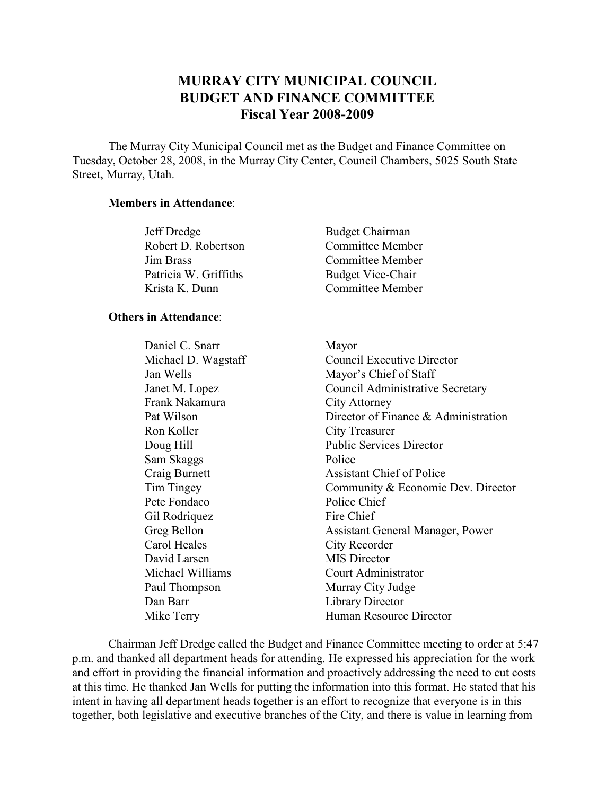# **MURRAY CITY MUNICIPAL COUNCIL BUDGET AND FINANCE COMMITTEE Fiscal Year 2008-2009**

The Murray City Municipal Council met as the Budget and Finance Committee on Tuesday, October 28, 2008, in the Murray City Center, Council Chambers, 5025 South State Street, Murray, Utah.

## **Members in Attendance**:

| Jeff Dredge           | <b>Budget Chairman</b>   |
|-----------------------|--------------------------|
| Robert D. Robertson   | <b>Committee Member</b>  |
| Jim Brass             | Committee Member         |
| Patricia W. Griffiths | <b>Budget Vice-Chair</b> |
| Krista K. Dunn        | Committee Member         |

#### **Others in Attendance**:

Daniel C. Snarr Mayor Frank Nakamura City Attorney Ron Koller City Treasurer Sam Skaggs Police Pete Fondaco Police Chief Gil Rodriquez Fire Chief Carol Heales City Recorder David Larsen MIS Director Paul Thompson Murray City Judge Dan Barr Library Director

Michael D. Wagstaff Council Executive Director Jan Wells Mayor's Chief of Staff Janet M. Lopez Council Administrative Secretary Pat Wilson Director of Finance & Administration Doug Hill Public Services Director Craig Burnett Assistant Chief of Police Tim Tingey Community & Economic Dev. Director Greg Bellon **Assistant General Manager**, Power Michael Williams Court Administrator Mike Terry Human Resource Director

Chairman Jeff Dredge called the Budget and Finance Committee meeting to order at 5:47 p.m. and thanked all department heads for attending. He expressed his appreciation for the work and effort in providing the financial information and proactively addressing the need to cut costs at this time. He thanked Jan Wells for putting the information into this format. He stated that his intent in having all department heads together is an effort to recognize that everyone is in this together, both legislative and executive branches of the City, and there is value in learning from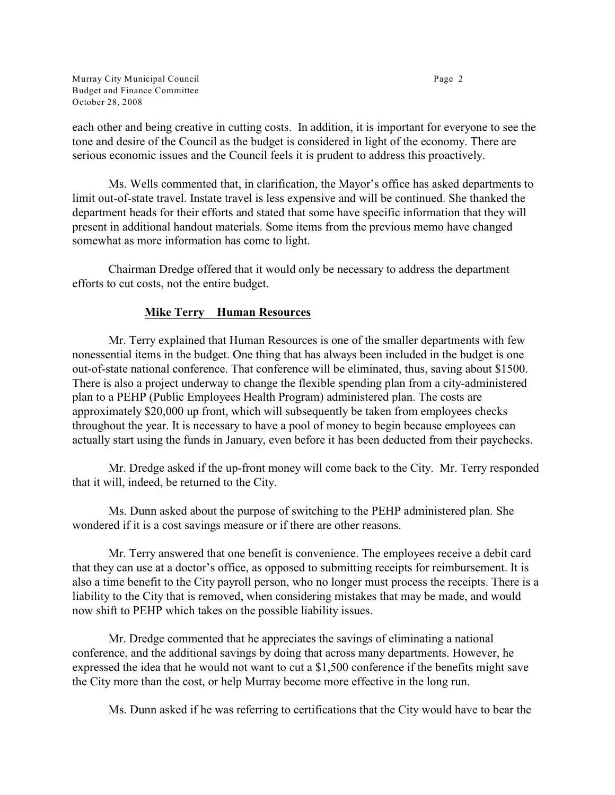Murray City Municipal Council **Page 2** Page 2 Budget and Finance Committee October 28, 2008

each other and being creative in cutting costs. In addition, it is important for everyone to see the tone and desire of the Council as the budget is considered in light of the economy. There are serious economic issues and the Council feels it is prudent to address this proactively.

Ms. Wells commented that, in clarification, the Mayor's office has asked departments to limit out-of-state travel. Instate travel is less expensive and will be continued. She thanked the department heads for their efforts and stated that some have specific information that they will present in additional handout materials. Some items from the previous memo have changed somewhat as more information has come to light.

Chairman Dredge offered that it would only be necessary to address the department efforts to cut costs, not the entire budget.

# **Mike Terry Human Resources**

Mr. Terry explained that Human Resources is one of the smaller departments with few nonessential items in the budget. One thing that has always been included in the budget is one out-of-state national conference. That conference will be eliminated, thus, saving about \$1500. There is also a project underway to change the flexible spending plan from a city-administered plan to a PEHP (Public Employees Health Program) administered plan. The costs are approximately \$20,000 up front, which will subsequently be taken from employees checks throughout the year. It is necessary to have a pool of money to begin because employees can actually start using the funds in January, even before it has been deducted from their paychecks.

Mr. Dredge asked if the up-front money will come back to the City. Mr. Terry responded that it will, indeed, be returned to the City.

Ms. Dunn asked about the purpose of switching to the PEHP administered plan. She wondered if it is a cost savings measure or if there are other reasons.

Mr. Terry answered that one benefit is convenience. The employees receive a debit card that they can use at a doctor's office, as opposed to submitting receipts for reimbursement. It is also a time benefit to the City payroll person, who no longer must process the receipts. There is a liability to the City that is removed, when considering mistakes that may be made, and would now shift to PEHP which takes on the possible liability issues.

Mr. Dredge commented that he appreciates the savings of eliminating a national conference, and the additional savings by doing that across many departments. However, he expressed the idea that he would not want to cut a \$1,500 conference if the benefits might save the City more than the cost, or help Murray become more effective in the long run.

Ms. Dunn asked if he was referring to certifications that the City would have to bear the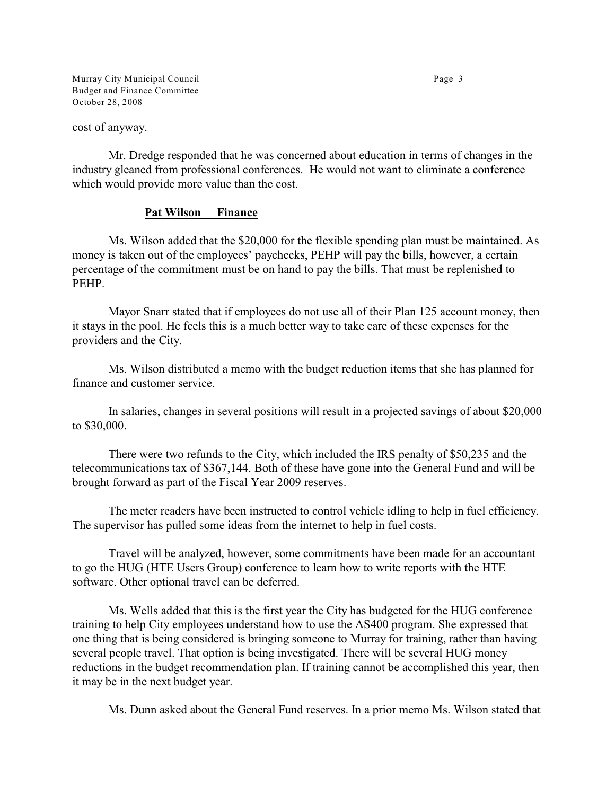Murray City Municipal Council **Page 3** Budget and Finance Committee October 28, 2008

cost of anyway.

Mr. Dredge responded that he was concerned about education in terms of changes in the industry gleaned from professional conferences. He would not want to eliminate a conference which would provide more value than the cost.

#### **Pat Wilson Finance**

Ms. Wilson added that the \$20,000 for the flexible spending plan must be maintained. As money is taken out of the employees' paychecks, PEHP will pay the bills, however, a certain percentage of the commitment must be on hand to pay the bills. That must be replenished to PEHP.

Mayor Snarr stated that if employees do not use all of their Plan 125 account money, then it stays in the pool. He feels this is a much better way to take care of these expenses for the providers and the City.

Ms. Wilson distributed a memo with the budget reduction items that she has planned for finance and customer service.

In salaries, changes in several positions will result in a projected savings of about \$20,000 to \$30,000.

There were two refunds to the City, which included the IRS penalty of \$50,235 and the telecommunications tax of \$367,144. Both of these have gone into the General Fund and will be brought forward as part of the Fiscal Year 2009 reserves.

The meter readers have been instructed to control vehicle idling to help in fuel efficiency. The supervisor has pulled some ideas from the internet to help in fuel costs.

Travel will be analyzed, however, some commitments have been made for an accountant to go the HUG (HTE Users Group) conference to learn how to write reports with the HTE software. Other optional travel can be deferred.

Ms. Wells added that this is the first year the City has budgeted for the HUG conference training to help City employees understand how to use the AS400 program. She expressed that one thing that is being considered is bringing someone to Murray for training, rather than having several people travel. That option is being investigated. There will be several HUG money reductions in the budget recommendation plan. If training cannot be accomplished this year, then it may be in the next budget year.

Ms. Dunn asked about the General Fund reserves. In a prior memo Ms. Wilson stated that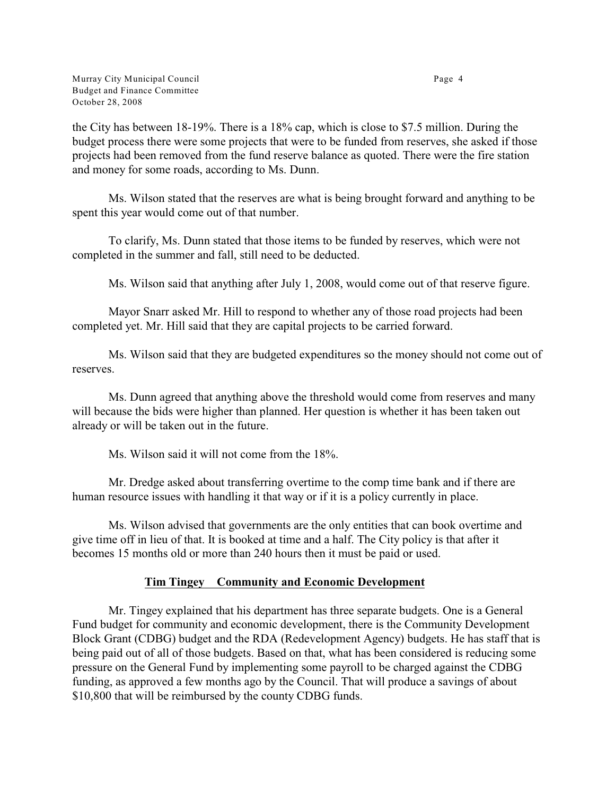the City has between 18-19%. There is a 18% cap, which is close to \$7.5 million. During the budget process there were some projects that were to be funded from reserves, she asked if those projects had been removed from the fund reserve balance as quoted. There were the fire station and money for some roads, according to Ms. Dunn.

Ms. Wilson stated that the reserves are what is being brought forward and anything to be spent this year would come out of that number.

To clarify, Ms. Dunn stated that those items to be funded by reserves, which were not completed in the summer and fall, still need to be deducted.

Ms. Wilson said that anything after July 1, 2008, would come out of that reserve figure.

Mayor Snarr asked Mr. Hill to respond to whether any of those road projects had been completed yet. Mr. Hill said that they are capital projects to be carried forward.

Ms. Wilson said that they are budgeted expenditures so the money should not come out of reserves.

Ms. Dunn agreed that anything above the threshold would come from reserves and many will because the bids were higher than planned. Her question is whether it has been taken out already or will be taken out in the future.

Ms. Wilson said it will not come from the 18%.

Mr. Dredge asked about transferring overtime to the comp time bank and if there are human resource issues with handling it that way or if it is a policy currently in place.

Ms. Wilson advised that governments are the only entities that can book overtime and give time off in lieu of that. It is booked at time and a half. The City policy is that after it becomes 15 months old or more than 240 hours then it must be paid or used.

# **Tim Tingey Community and Economic Development**

Mr. Tingey explained that his department has three separate budgets. One is a General Fund budget for community and economic development, there is the Community Development Block Grant (CDBG) budget and the RDA (Redevelopment Agency) budgets. He has staff that is being paid out of all of those budgets. Based on that, what has been considered is reducing some pressure on the General Fund by implementing some payroll to be charged against the CDBG funding, as approved a few months ago by the Council. That will produce a savings of about \$10,800 that will be reimbursed by the county CDBG funds.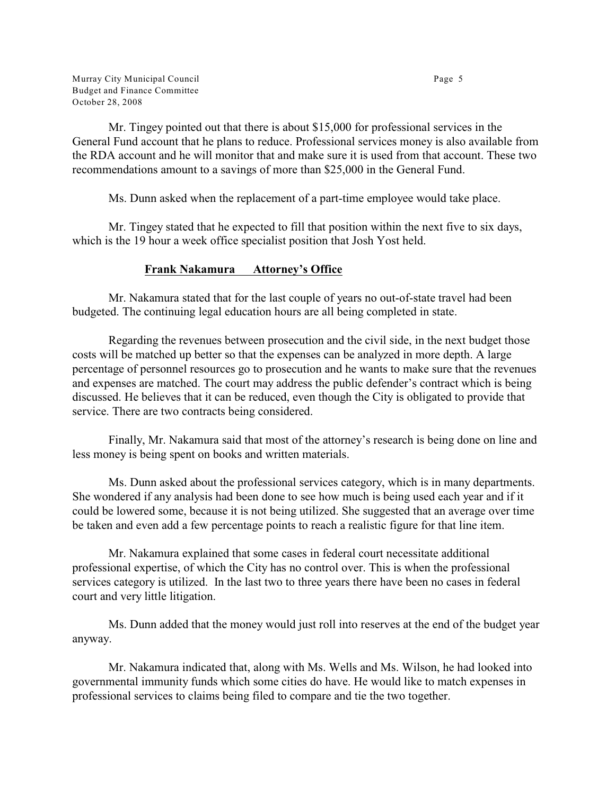Murray City Municipal Council **Page 5** and  $\alpha$  **Page 5** and  $\alpha$  **Page 5** and  $\alpha$  **Page 5** and  $\alpha$  **Page 5** and  $\alpha$  **Page 5** and  $\alpha$  **Page 5** and  $\alpha$  **Page 5** and  $\alpha$  **Page 5** and  $\alpha$  **Page 5** and  $\alpha$  **Page 5** and Budget and Finance Committee October 28, 2008

Mr. Tingey pointed out that there is about \$15,000 for professional services in the General Fund account that he plans to reduce. Professional services money is also available from the RDA account and he will monitor that and make sure it is used from that account. These two recommendations amount to a savings of more than \$25,000 in the General Fund.

Ms. Dunn asked when the replacement of a part-time employee would take place.

Mr. Tingey stated that he expected to fill that position within the next five to six days, which is the 19 hour a week office specialist position that Josh Yost held.

# **Frank Nakamura Attorney's Office**

Mr. Nakamura stated that for the last couple of years no out-of-state travel had been budgeted. The continuing legal education hours are all being completed in state.

Regarding the revenues between prosecution and the civil side, in the next budget those costs will be matched up better so that the expenses can be analyzed in more depth. A large percentage of personnel resources go to prosecution and he wants to make sure that the revenues and expenses are matched. The court may address the public defender's contract which is being discussed. He believes that it can be reduced, even though the City is obligated to provide that service. There are two contracts being considered.

Finally, Mr. Nakamura said that most of the attorney's research is being done on line and less money is being spent on books and written materials.

Ms. Dunn asked about the professional services category, which is in many departments. She wondered if any analysis had been done to see how much is being used each year and if it could be lowered some, because it is not being utilized. She suggested that an average over time be taken and even add a few percentage points to reach a realistic figure for that line item.

Mr. Nakamura explained that some cases in federal court necessitate additional professional expertise, of which the City has no control over. This is when the professional services category is utilized. In the last two to three years there have been no cases in federal court and very little litigation.

Ms. Dunn added that the money would just roll into reserves at the end of the budget year anyway.

Mr. Nakamura indicated that, along with Ms. Wells and Ms. Wilson, he had looked into governmental immunity funds which some cities do have. He would like to match expenses in professional services to claims being filed to compare and tie the two together.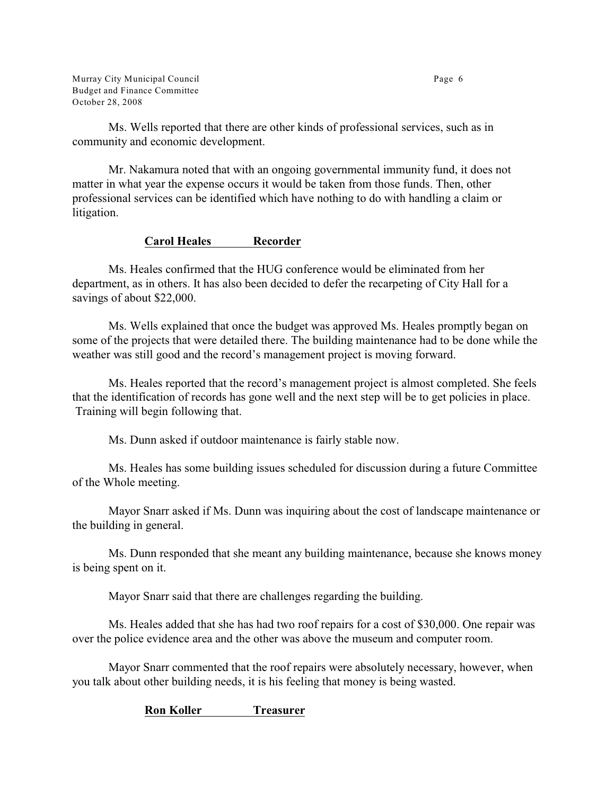Murray City Municipal Council **Page 6** Budget and Finance Committee October 28, 2008

Ms. Wells reported that there are other kinds of professional services, such as in community and economic development.

Mr. Nakamura noted that with an ongoing governmental immunity fund, it does not matter in what year the expense occurs it would be taken from those funds. Then, other professional services can be identified which have nothing to do with handling a claim or litigation.

## **Carol Heales Recorder**

Ms. Heales confirmed that the HUG conference would be eliminated from her department, as in others. It has also been decided to defer the recarpeting of City Hall for a savings of about \$22,000.

Ms. Wells explained that once the budget was approved Ms. Heales promptly began on some of the projects that were detailed there. The building maintenance had to be done while the weather was still good and the record's management project is moving forward.

Ms. Heales reported that the record's management project is almost completed. She feels that the identification of records has gone well and the next step will be to get policies in place. Training will begin following that.

Ms. Dunn asked if outdoor maintenance is fairly stable now.

Ms. Heales has some building issues scheduled for discussion during a future Committee of the Whole meeting.

Mayor Snarr asked if Ms. Dunn was inquiring about the cost of landscape maintenance or the building in general.

Ms. Dunn responded that she meant any building maintenance, because she knows money is being spent on it.

Mayor Snarr said that there are challenges regarding the building.

Ms. Heales added that she has had two roof repairs for a cost of \$30,000. One repair was over the police evidence area and the other was above the museum and computer room.

Mayor Snarr commented that the roof repairs were absolutely necessary, however, when you talk about other building needs, it is his feeling that money is being wasted.

**Ron Koller Treasurer**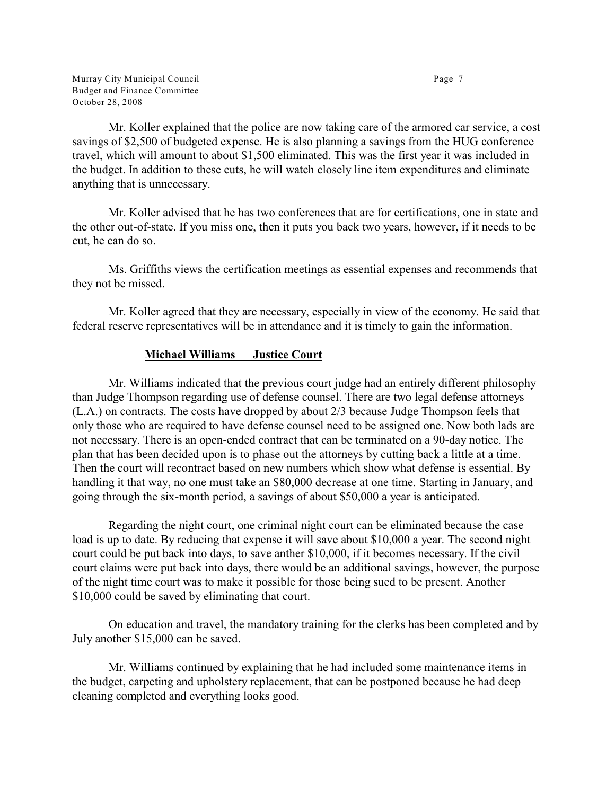Murray City Municipal Council **Page 7** and  $P$  and  $P$  and  $P$  and  $P$  and  $P$  and  $P$  and  $P$  and  $P$  and  $P$  and  $P$  and  $P$  and  $P$  and  $P$  and  $P$  and  $P$  and  $P$  and  $P$  and  $P$  and  $P$  and  $P$  and  $P$  and  $P$  and  $P$ Budget and Finance Committee October 28, 2008

Mr. Koller explained that the police are now taking care of the armored car service, a cost savings of \$2,500 of budgeted expense. He is also planning a savings from the HUG conference travel, which will amount to about \$1,500 eliminated. This was the first year it was included in the budget. In addition to these cuts, he will watch closely line item expenditures and eliminate anything that is unnecessary.

Mr. Koller advised that he has two conferences that are for certifications, one in state and the other out-of-state. If you miss one, then it puts you back two years, however, if it needs to be cut, he can do so.

Ms. Griffiths views the certification meetings as essential expenses and recommends that they not be missed.

Mr. Koller agreed that they are necessary, especially in view of the economy. He said that federal reserve representatives will be in attendance and it is timely to gain the information.

#### **Michael Williams Justice Court**

Mr. Williams indicated that the previous court judge had an entirely different philosophy than Judge Thompson regarding use of defense counsel. There are two legal defense attorneys (L.A.) on contracts. The costs have dropped by about 2/3 because Judge Thompson feels that only those who are required to have defense counsel need to be assigned one. Now both lads are not necessary. There is an open-ended contract that can be terminated on a 90-day notice. The plan that has been decided upon is to phase out the attorneys by cutting back a little at a time. Then the court will recontract based on new numbers which show what defense is essential. By handling it that way, no one must take an \$80,000 decrease at one time. Starting in January, and going through the six-month period, a savings of about \$50,000 a year is anticipated.

Regarding the night court, one criminal night court can be eliminated because the case load is up to date. By reducing that expense it will save about \$10,000 a year. The second night court could be put back into days, to save anther \$10,000, if it becomes necessary. If the civil court claims were put back into days, there would be an additional savings, however, the purpose of the night time court was to make it possible for those being sued to be present. Another \$10,000 could be saved by eliminating that court.

On education and travel, the mandatory training for the clerks has been completed and by July another \$15,000 can be saved.

Mr. Williams continued by explaining that he had included some maintenance items in the budget, carpeting and upholstery replacement, that can be postponed because he had deep cleaning completed and everything looks good.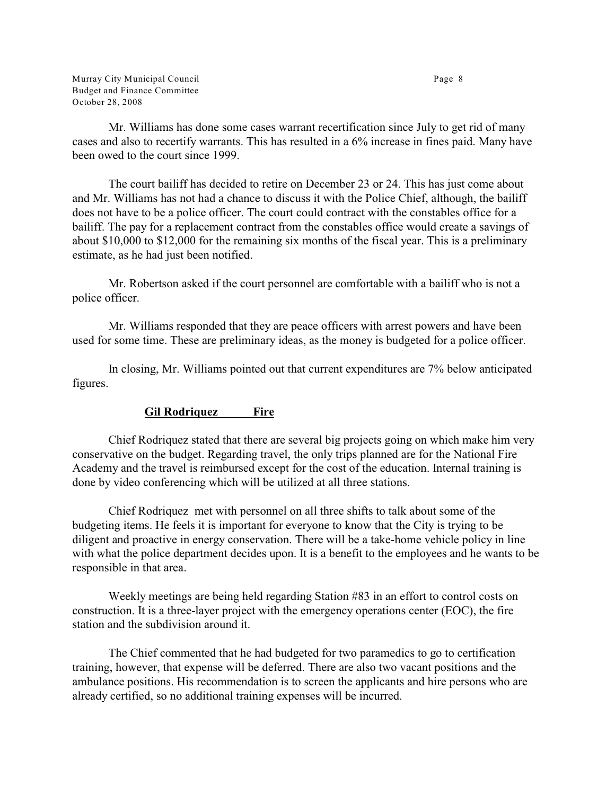Murray City Municipal Council **Page 8** and the state of the state of the state of the state of the state of the state of the state of the state of the state of the state of the state of the state of the state of the state Budget and Finance Committee October 28, 2008

Mr. Williams has done some cases warrant recertification since July to get rid of many cases and also to recertify warrants. This has resulted in a 6% increase in fines paid. Many have been owed to the court since 1999.

The court bailiff has decided to retire on December 23 or 24. This has just come about and Mr. Williams has not had a chance to discuss it with the Police Chief, although, the bailiff does not have to be a police officer. The court could contract with the constables office for a bailiff. The pay for a replacement contract from the constables office would create a savings of about \$10,000 to \$12,000 for the remaining six months of the fiscal year. This is a preliminary estimate, as he had just been notified.

Mr. Robertson asked if the court personnel are comfortable with a bailiff who is not a police officer.

Mr. Williams responded that they are peace officers with arrest powers and have been used for some time. These are preliminary ideas, as the money is budgeted for a police officer.

In closing, Mr. Williams pointed out that current expenditures are 7% below anticipated figures.

# **Gil Rodriquez Fire**

Chief Rodriquez stated that there are several big projects going on which make him very conservative on the budget. Regarding travel, the only trips planned are for the National Fire Academy and the travel is reimbursed except for the cost of the education. Internal training is done by video conferencing which will be utilized at all three stations.

Chief Rodriquez met with personnel on all three shifts to talk about some of the budgeting items. He feels it is important for everyone to know that the City is trying to be diligent and proactive in energy conservation. There will be a take-home vehicle policy in line with what the police department decides upon. It is a benefit to the employees and he wants to be responsible in that area.

Weekly meetings are being held regarding Station #83 in an effort to control costs on construction. It is a three-layer project with the emergency operations center (EOC), the fire station and the subdivision around it.

The Chief commented that he had budgeted for two paramedics to go to certification training, however, that expense will be deferred. There are also two vacant positions and the ambulance positions. His recommendation is to screen the applicants and hire persons who are already certified, so no additional training expenses will be incurred.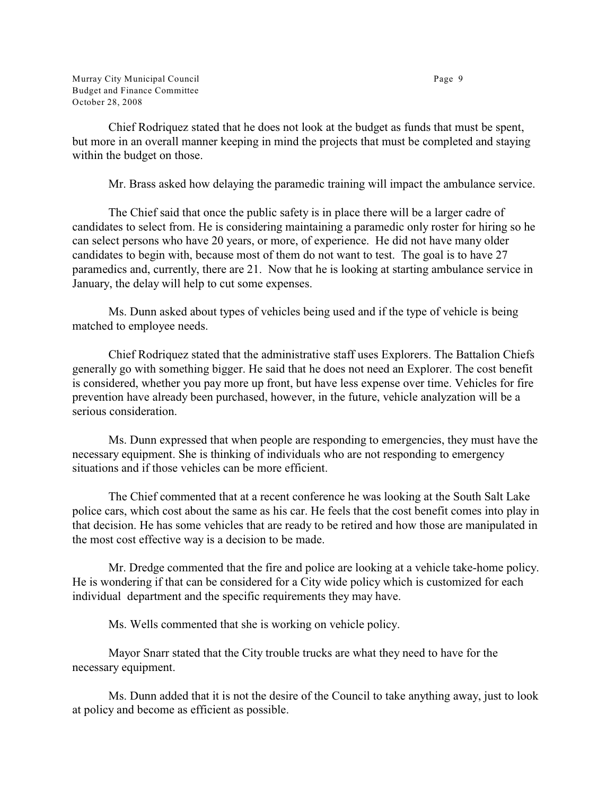Murray City Municipal Council **Page 9** Budget and Finance Committee October 28, 2008

Chief Rodriquez stated that he does not look at the budget as funds that must be spent, but more in an overall manner keeping in mind the projects that must be completed and staying within the budget on those.

Mr. Brass asked how delaying the paramedic training will impact the ambulance service.

The Chief said that once the public safety is in place there will be a larger cadre of candidates to select from. He is considering maintaining a paramedic only roster for hiring so he can select persons who have 20 years, or more, of experience. He did not have many older candidates to begin with, because most of them do not want to test. The goal is to have 27 paramedics and, currently, there are 21. Now that he is looking at starting ambulance service in January, the delay will help to cut some expenses.

Ms. Dunn asked about types of vehicles being used and if the type of vehicle is being matched to employee needs.

Chief Rodriquez stated that the administrative staff uses Explorers. The Battalion Chiefs generally go with something bigger. He said that he does not need an Explorer. The cost benefit is considered, whether you pay more up front, but have less expense over time. Vehicles for fire prevention have already been purchased, however, in the future, vehicle analyzation will be a serious consideration.

Ms. Dunn expressed that when people are responding to emergencies, they must have the necessary equipment. She is thinking of individuals who are not responding to emergency situations and if those vehicles can be more efficient.

The Chief commented that at a recent conference he was looking at the South Salt Lake police cars, which cost about the same as his car. He feels that the cost benefit comes into play in that decision. He has some vehicles that are ready to be retired and how those are manipulated in the most cost effective way is a decision to be made.

Mr. Dredge commented that the fire and police are looking at a vehicle take-home policy. He is wondering if that can be considered for a City wide policy which is customized for each individual department and the specific requirements they may have.

Ms. Wells commented that she is working on vehicle policy.

Mayor Snarr stated that the City trouble trucks are what they need to have for the necessary equipment.

Ms. Dunn added that it is not the desire of the Council to take anything away, just to look at policy and become as efficient as possible.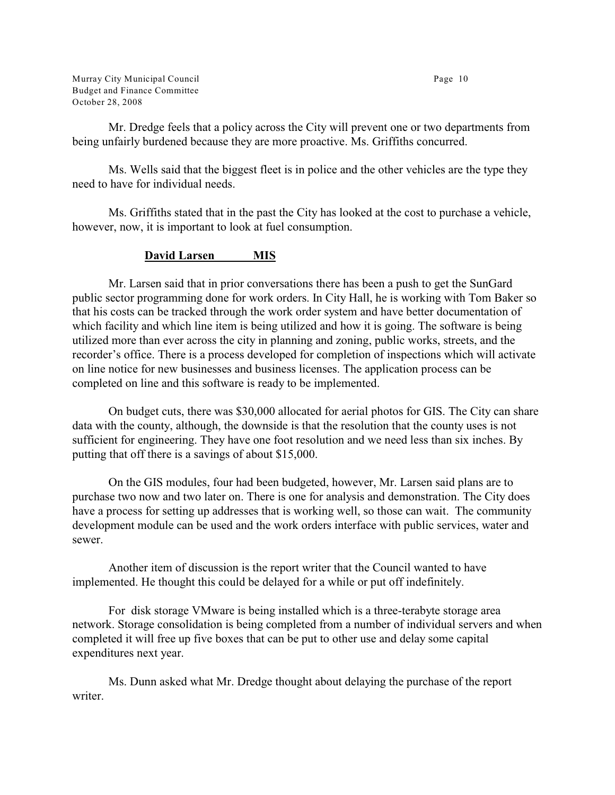Murray City Municipal Council **Page 10** Budget and Finance Committee October 28, 2008

Mr. Dredge feels that a policy across the City will prevent one or two departments from being unfairly burdened because they are more proactive. Ms. Griffiths concurred.

Ms. Wells said that the biggest fleet is in police and the other vehicles are the type they need to have for individual needs.

Ms. Griffiths stated that in the past the City has looked at the cost to purchase a vehicle, however, now, it is important to look at fuel consumption.

## **David Larsen MIS**

Mr. Larsen said that in prior conversations there has been a push to get the SunGard public sector programming done for work orders. In City Hall, he is working with Tom Baker so that his costs can be tracked through the work order system and have better documentation of which facility and which line item is being utilized and how it is going. The software is being utilized more than ever across the city in planning and zoning, public works, streets, and the recorder's office. There is a process developed for completion of inspections which will activate on line notice for new businesses and business licenses. The application process can be completed on line and this software is ready to be implemented.

On budget cuts, there was \$30,000 allocated for aerial photos for GIS. The City can share data with the county, although, the downside is that the resolution that the county uses is not sufficient for engineering. They have one foot resolution and we need less than six inches. By putting that off there is a savings of about \$15,000.

On the GIS modules, four had been budgeted, however, Mr. Larsen said plans are to purchase two now and two later on. There is one for analysis and demonstration. The City does have a process for setting up addresses that is working well, so those can wait. The community development module can be used and the work orders interface with public services, water and sewer.

Another item of discussion is the report writer that the Council wanted to have implemented. He thought this could be delayed for a while or put off indefinitely.

For disk storage VMware is being installed which is a three-terabyte storage area network. Storage consolidation is being completed from a number of individual servers and when completed it will free up five boxes that can be put to other use and delay some capital expenditures next year.

Ms. Dunn asked what Mr. Dredge thought about delaying the purchase of the report writer.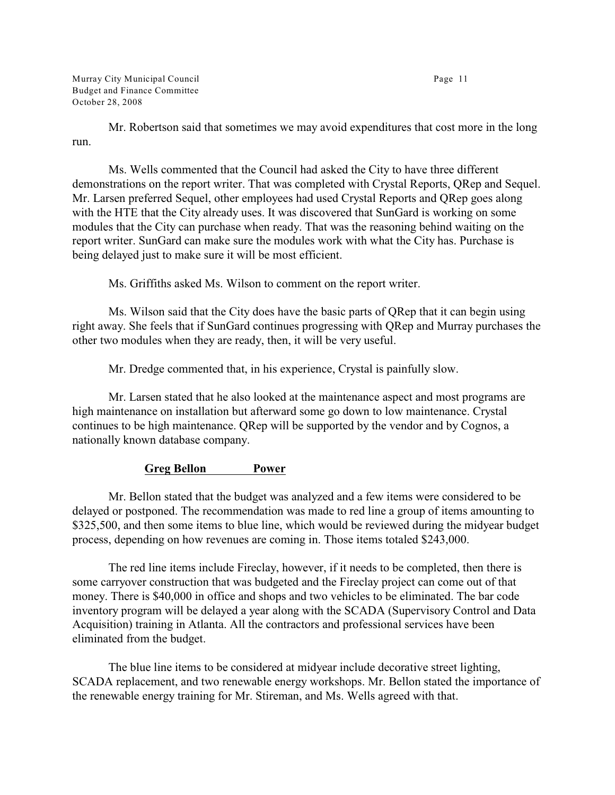Murray City Municipal Council **Page 11** Budget and Finance Committee October 28, 2008

Mr. Robertson said that sometimes we may avoid expenditures that cost more in the long run.

Ms. Wells commented that the Council had asked the City to have three different demonstrations on the report writer. That was completed with Crystal Reports, QRep and Sequel. Mr. Larsen preferred Sequel, other employees had used Crystal Reports and QRep goes along with the HTE that the City already uses. It was discovered that SunGard is working on some modules that the City can purchase when ready. That was the reasoning behind waiting on the report writer. SunGard can make sure the modules work with what the City has. Purchase is being delayed just to make sure it will be most efficient.

Ms. Griffiths asked Ms. Wilson to comment on the report writer.

Ms. Wilson said that the City does have the basic parts of QRep that it can begin using right away. She feels that if SunGard continues progressing with QRep and Murray purchases the other two modules when they are ready, then, it will be very useful.

Mr. Dredge commented that, in his experience, Crystal is painfully slow.

Mr. Larsen stated that he also looked at the maintenance aspect and most programs are high maintenance on installation but afterward some go down to low maintenance. Crystal continues to be high maintenance. QRep will be supported by the vendor and by Cognos, a nationally known database company.

#### **Greg Bellon Power**

Mr. Bellon stated that the budget was analyzed and a few items were considered to be delayed or postponed. The recommendation was made to red line a group of items amounting to \$325,500, and then some items to blue line, which would be reviewed during the midyear budget process, depending on how revenues are coming in. Those items totaled \$243,000.

The red line items include Fireclay, however, if it needs to be completed, then there is some carryover construction that was budgeted and the Fireclay project can come out of that money. There is \$40,000 in office and shops and two vehicles to be eliminated. The bar code inventory program will be delayed a year along with the SCADA (Supervisory Control and Data Acquisition) training in Atlanta. All the contractors and professional services have been eliminated from the budget.

The blue line items to be considered at midyear include decorative street lighting, SCADA replacement, and two renewable energy workshops. Mr. Bellon stated the importance of the renewable energy training for Mr. Stireman, and Ms. Wells agreed with that.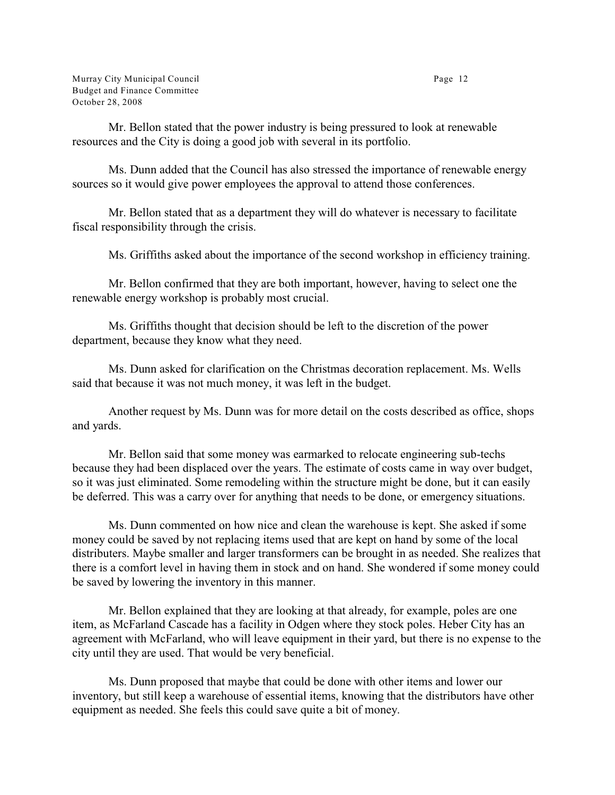Mr. Bellon stated that the power industry is being pressured to look at renewable resources and the City is doing a good job with several in its portfolio.

Ms. Dunn added that the Council has also stressed the importance of renewable energy sources so it would give power employees the approval to attend those conferences.

Mr. Bellon stated that as a department they will do whatever is necessary to facilitate fiscal responsibility through the crisis.

Ms. Griffiths asked about the importance of the second workshop in efficiency training.

Mr. Bellon confirmed that they are both important, however, having to select one the renewable energy workshop is probably most crucial.

Ms. Griffiths thought that decision should be left to the discretion of the power department, because they know what they need.

Ms. Dunn asked for clarification on the Christmas decoration replacement. Ms. Wells said that because it was not much money, it was left in the budget.

Another request by Ms. Dunn was for more detail on the costs described as office, shops and yards.

Mr. Bellon said that some money was earmarked to relocate engineering sub-techs because they had been displaced over the years. The estimate of costs came in way over budget, so it was just eliminated. Some remodeling within the structure might be done, but it can easily be deferred. This was a carry over for anything that needs to be done, or emergency situations.

Ms. Dunn commented on how nice and clean the warehouse is kept. She asked if some money could be saved by not replacing items used that are kept on hand by some of the local distributers. Maybe smaller and larger transformers can be brought in as needed. She realizes that there is a comfort level in having them in stock and on hand. She wondered if some money could be saved by lowering the inventory in this manner.

Mr. Bellon explained that they are looking at that already, for example, poles are one item, as McFarland Cascade has a facility in Odgen where they stock poles. Heber City has an agreement with McFarland, who will leave equipment in their yard, but there is no expense to the city until they are used. That would be very beneficial.

Ms. Dunn proposed that maybe that could be done with other items and lower our inventory, but still keep a warehouse of essential items, knowing that the distributors have other equipment as needed. She feels this could save quite a bit of money.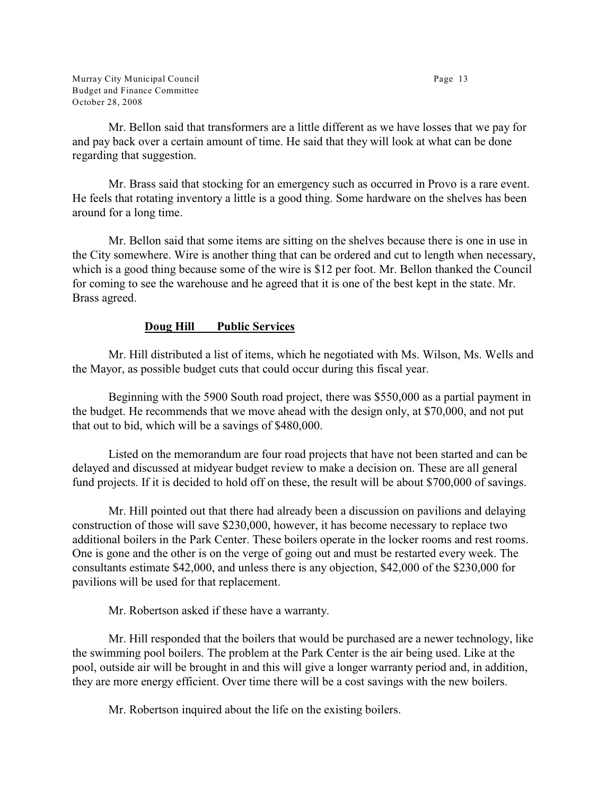Murray City Municipal Council **Page 13** Budget and Finance Committee October 28, 2008

Mr. Bellon said that transformers are a little different as we have losses that we pay for and pay back over a certain amount of time. He said that they will look at what can be done regarding that suggestion.

Mr. Brass said that stocking for an emergency such as occurred in Provo is a rare event. He feels that rotating inventory a little is a good thing. Some hardware on the shelves has been around for a long time.

Mr. Bellon said that some items are sitting on the shelves because there is one in use in the City somewhere. Wire is another thing that can be ordered and cut to length when necessary, which is a good thing because some of the wire is \$12 per foot. Mr. Bellon thanked the Council for coming to see the warehouse and he agreed that it is one of the best kept in the state. Mr. Brass agreed.

## **Doug Hill Public Services**

Mr. Hill distributed a list of items, which he negotiated with Ms. Wilson, Ms. Wells and the Mayor, as possible budget cuts that could occur during this fiscal year.

Beginning with the 5900 South road project, there was \$550,000 as a partial payment in the budget. He recommends that we move ahead with the design only, at \$70,000, and not put that out to bid, which will be a savings of \$480,000.

Listed on the memorandum are four road projects that have not been started and can be delayed and discussed at midyear budget review to make a decision on. These are all general fund projects. If it is decided to hold off on these, the result will be about \$700,000 of savings.

Mr. Hill pointed out that there had already been a discussion on pavilions and delaying construction of those will save \$230,000, however, it has become necessary to replace two additional boilers in the Park Center. These boilers operate in the locker rooms and rest rooms. One is gone and the other is on the verge of going out and must be restarted every week. The consultants estimate \$42,000, and unless there is any objection, \$42,000 of the \$230,000 for pavilions will be used for that replacement.

Mr. Robertson asked if these have a warranty.

Mr. Hill responded that the boilers that would be purchased are a newer technology, like the swimming pool boilers. The problem at the Park Center is the air being used. Like at the pool, outside air will be brought in and this will give a longer warranty period and, in addition, they are more energy efficient. Over time there will be a cost savings with the new boilers.

Mr. Robertson inquired about the life on the existing boilers.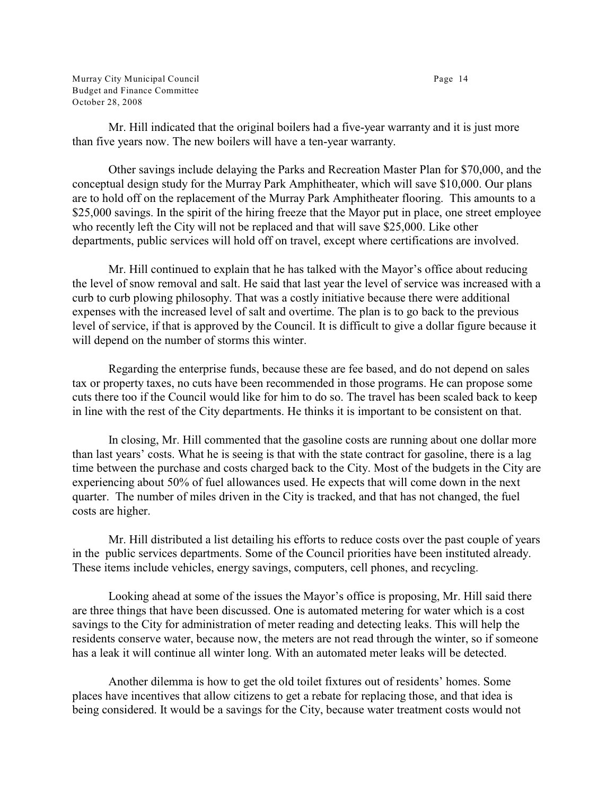Murray City Municipal Council **Page 14** Budget and Finance Committee October 28, 2008

Mr. Hill indicated that the original boilers had a five-year warranty and it is just more than five years now. The new boilers will have a ten-year warranty.

Other savings include delaying the Parks and Recreation Master Plan for \$70,000, and the conceptual design study for the Murray Park Amphitheater, which will save \$10,000. Our plans are to hold off on the replacement of the Murray Park Amphitheater flooring. This amounts to a \$25,000 savings. In the spirit of the hiring freeze that the Mayor put in place, one street employee who recently left the City will not be replaced and that will save \$25,000. Like other departments, public services will hold off on travel, except where certifications are involved.

Mr. Hill continued to explain that he has talked with the Mayor's office about reducing the level of snow removal and salt. He said that last year the level of service was increased with a curb to curb plowing philosophy. That was a costly initiative because there were additional expenses with the increased level of salt and overtime. The plan is to go back to the previous level of service, if that is approved by the Council. It is difficult to give a dollar figure because it will depend on the number of storms this winter.

Regarding the enterprise funds, because these are fee based, and do not depend on sales tax or property taxes, no cuts have been recommended in those programs. He can propose some cuts there too if the Council would like for him to do so. The travel has been scaled back to keep in line with the rest of the City departments. He thinks it is important to be consistent on that.

In closing, Mr. Hill commented that the gasoline costs are running about one dollar more than last years' costs. What he is seeing is that with the state contract for gasoline, there is a lag time between the purchase and costs charged back to the City. Most of the budgets in the City are experiencing about 50% of fuel allowances used. He expects that will come down in the next quarter. The number of miles driven in the City is tracked, and that has not changed, the fuel costs are higher.

Mr. Hill distributed a list detailing his efforts to reduce costs over the past couple of years in the public services departments. Some of the Council priorities have been instituted already. These items include vehicles, energy savings, computers, cell phones, and recycling.

Looking ahead at some of the issues the Mayor's office is proposing, Mr. Hill said there are three things that have been discussed. One is automated metering for water which is a cost savings to the City for administration of meter reading and detecting leaks. This will help the residents conserve water, because now, the meters are not read through the winter, so if someone has a leak it will continue all winter long. With an automated meter leaks will be detected.

Another dilemma is how to get the old toilet fixtures out of residents' homes. Some places have incentives that allow citizens to get a rebate for replacing those, and that idea is being considered. It would be a savings for the City, because water treatment costs would not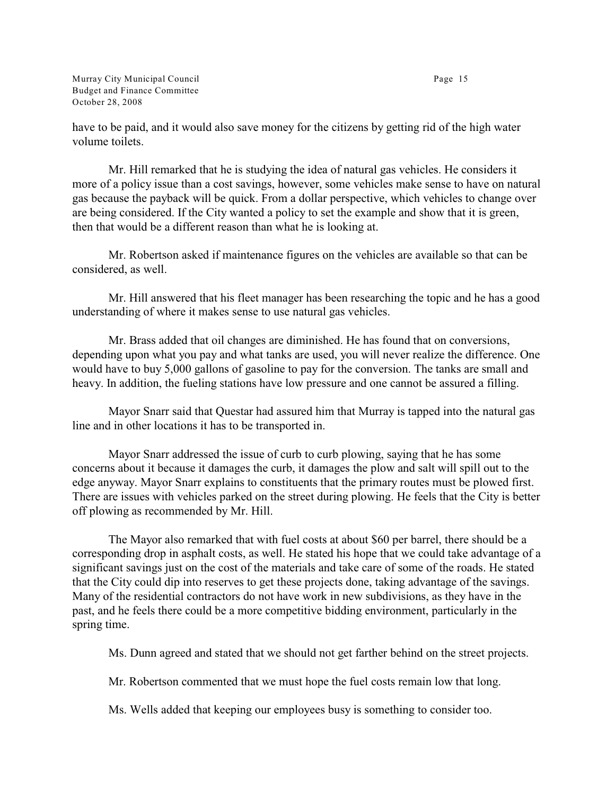Murray City Municipal Council **Page 15** Budget and Finance Committee October 28, 2008

have to be paid, and it would also save money for the citizens by getting rid of the high water volume toilets.

Mr. Hill remarked that he is studying the idea of natural gas vehicles. He considers it more of a policy issue than a cost savings, however, some vehicles make sense to have on natural gas because the payback will be quick. From a dollar perspective, which vehicles to change over are being considered. If the City wanted a policy to set the example and show that it is green, then that would be a different reason than what he is looking at.

Mr. Robertson asked if maintenance figures on the vehicles are available so that can be considered, as well.

Mr. Hill answered that his fleet manager has been researching the topic and he has a good understanding of where it makes sense to use natural gas vehicles.

Mr. Brass added that oil changes are diminished. He has found that on conversions, depending upon what you pay and what tanks are used, you will never realize the difference. One would have to buy 5,000 gallons of gasoline to pay for the conversion. The tanks are small and heavy. In addition, the fueling stations have low pressure and one cannot be assured a filling.

Mayor Snarr said that Questar had assured him that Murray is tapped into the natural gas line and in other locations it has to be transported in.

Mayor Snarr addressed the issue of curb to curb plowing, saying that he has some concerns about it because it damages the curb, it damages the plow and salt will spill out to the edge anyway. Mayor Snarr explains to constituents that the primary routes must be plowed first. There are issues with vehicles parked on the street during plowing. He feels that the City is better off plowing as recommended by Mr. Hill.

The Mayor also remarked that with fuel costs at about \$60 per barrel, there should be a corresponding drop in asphalt costs, as well. He stated his hope that we could take advantage of a significant savings just on the cost of the materials and take care of some of the roads. He stated that the City could dip into reserves to get these projects done, taking advantage of the savings. Many of the residential contractors do not have work in new subdivisions, as they have in the past, and he feels there could be a more competitive bidding environment, particularly in the spring time.

Ms. Dunn agreed and stated that we should not get farther behind on the street projects.

Mr. Robertson commented that we must hope the fuel costs remain low that long.

Ms. Wells added that keeping our employees busy is something to consider too.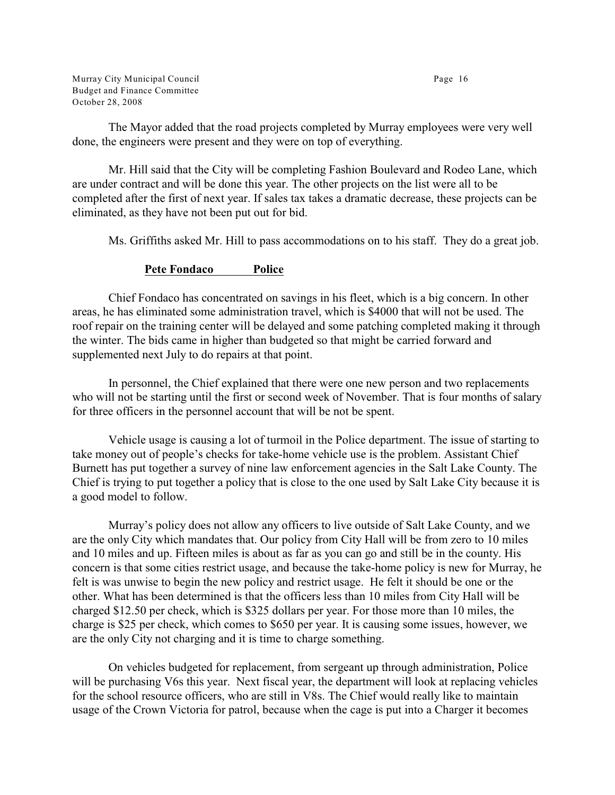Murray City Municipal Council **Page 16** Budget and Finance Committee October 28, 2008

The Mayor added that the road projects completed by Murray employees were very well done, the engineers were present and they were on top of everything.

Mr. Hill said that the City will be completing Fashion Boulevard and Rodeo Lane, which are under contract and will be done this year. The other projects on the list were all to be completed after the first of next year. If sales tax takes a dramatic decrease, these projects can be eliminated, as they have not been put out for bid.

Ms. Griffiths asked Mr. Hill to pass accommodations on to his staff. They do a great job.

#### **Pete Fondaco Police**

Chief Fondaco has concentrated on savings in his fleet, which is a big concern. In other areas, he has eliminated some administration travel, which is \$4000 that will not be used. The roof repair on the training center will be delayed and some patching completed making it through the winter. The bids came in higher than budgeted so that might be carried forward and supplemented next July to do repairs at that point.

In personnel, the Chief explained that there were one new person and two replacements who will not be starting until the first or second week of November. That is four months of salary for three officers in the personnel account that will be not be spent.

Vehicle usage is causing a lot of turmoil in the Police department. The issue of starting to take money out of people's checks for take-home vehicle use is the problem. Assistant Chief Burnett has put together a survey of nine law enforcement agencies in the Salt Lake County. The Chief is trying to put together a policy that is close to the one used by Salt Lake City because it is a good model to follow.

Murray's policy does not allow any officers to live outside of Salt Lake County, and we are the only City which mandates that. Our policy from City Hall will be from zero to 10 miles and 10 miles and up. Fifteen miles is about as far as you can go and still be in the county. His concern is that some cities restrict usage, and because the take-home policy is new for Murray, he felt is was unwise to begin the new policy and restrict usage. He felt it should be one or the other. What has been determined is that the officers less than 10 miles from City Hall will be charged \$12.50 per check, which is \$325 dollars per year. For those more than 10 miles, the charge is \$25 per check, which comes to \$650 per year. It is causing some issues, however, we are the only City not charging and it is time to charge something.

On vehicles budgeted for replacement, from sergeant up through administration, Police will be purchasing V6s this year. Next fiscal year, the department will look at replacing vehicles for the school resource officers, who are still in V8s. The Chief would really like to maintain usage of the Crown Victoria for patrol, because when the cage is put into a Charger it becomes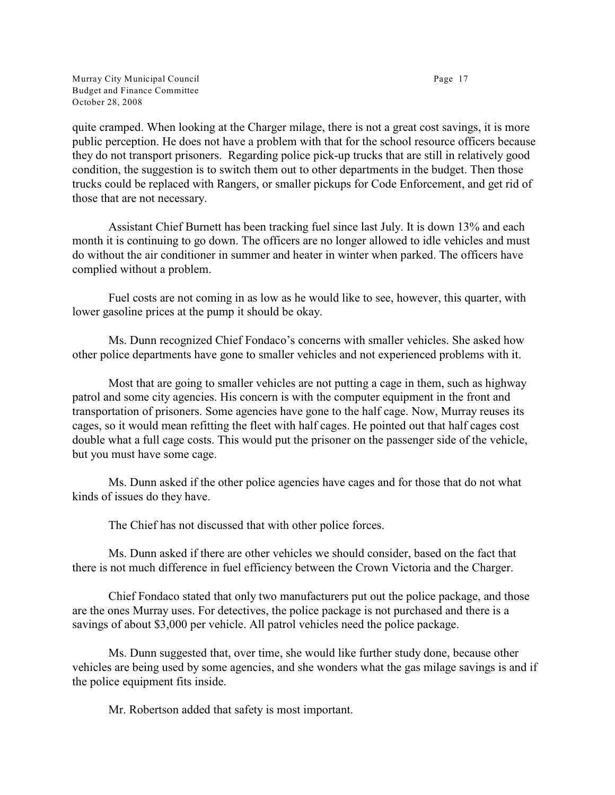Murray City Municipal Council **Page 17** Budget and Finance Committee October 28, 2008

quite cramped. When looking at the Charger milage, there is not a great cost savings, it is more public perception. He does not have a problem with that for the school resource officers because they do not transport prisoners. Regarding police pick-up trucks that are still in relatively good condition, the suggestion is to switch them out to other departments in the budget. Then those trucks could be replaced with Rangers, or smaller pickups for Code Enforcement, and get rid of those that are not necessary.

Assistant Chief Burnett has been tracking fuel since last July. It is down 13% and each month it is continuing to go down. The officers are no longer allowed to idle vehicles and must do without the air conditioner in summer and heater in winter when parked. The officers have complied without a problem.

Fuel costs are not coming in as low as he would like to see, however, this quarter, with lower gasoline prices at the pump it should be okay.

Ms. Dunn recognized Chief Fondaco's concerns with smaller vehicles. She asked how other police departments have gone to smaller vehicles and not experienced problems with it.

Most that are going to smaller vehicles are not putting a cage in them, such as highway patrol and some city agencies. His concern is with the computer equipment in the front and transportation of prisoners. Some agencies have gone to the half cage. Now, Murray reuses its cages, so it would mean refitting the fleet with half cages. He pointed out that half cages cost double what a full cage costs. This would put the prisoner on the passenger side of the vehicle, but you must have some cage.

Ms. Dunn asked if the other police agencies have cages and for those that do not what kinds of issues do they have.

The Chief has not discussed that with other police forces.

Ms. Dunn asked if there are other vehicles we should consider, based on the fact that there is not much difference in fuel efficiency between the Crown Victoria and the Charger.

Chief Fondaco stated that only two manufacturers put out the police package, and those are the ones Murray uses. For detectives, the police package is not purchased and there is a savings of about \$3,000 per vehicle. All patrol vehicles need the police package.

Ms. Dunn suggested that, over time, she would like further study done, because other vehicles are being used by some agencies, and she wonders what the gas milage savings is and if the police equipment fits inside.

Mr. Robertson added that safety is most important.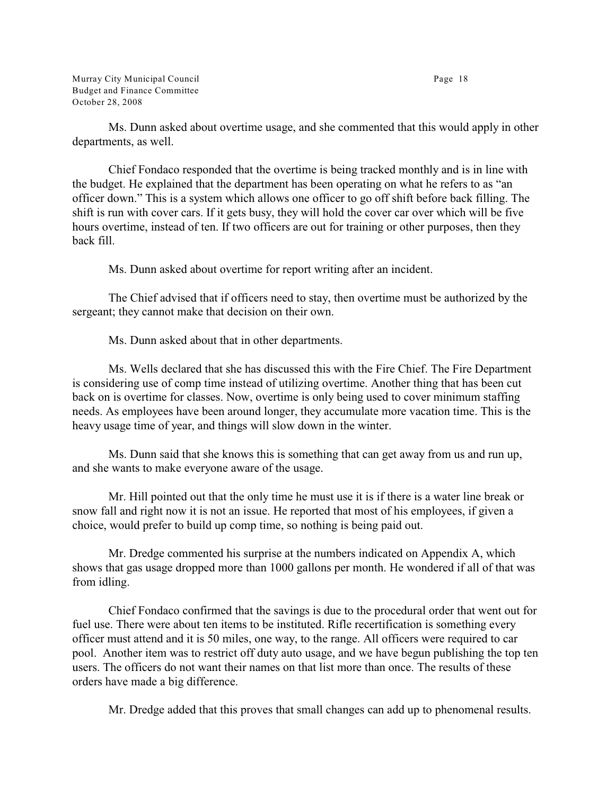Murray City Municipal Council **Page 18** Budget and Finance Committee October 28, 2008

Ms. Dunn asked about overtime usage, and she commented that this would apply in other departments, as well.

Chief Fondaco responded that the overtime is being tracked monthly and is in line with the budget. He explained that the department has been operating on what he refers to as "an officer down." This is a system which allows one officer to go off shift before back filling. The shift is run with cover cars. If it gets busy, they will hold the cover car over which will be five hours overtime, instead of ten. If two officers are out for training or other purposes, then they back fill.

Ms. Dunn asked about overtime for report writing after an incident.

The Chief advised that if officers need to stay, then overtime must be authorized by the sergeant; they cannot make that decision on their own.

Ms. Dunn asked about that in other departments.

Ms. Wells declared that she has discussed this with the Fire Chief. The Fire Department is considering use of comp time instead of utilizing overtime. Another thing that has been cut back on is overtime for classes. Now, overtime is only being used to cover minimum staffing needs. As employees have been around longer, they accumulate more vacation time. This is the heavy usage time of year, and things will slow down in the winter.

Ms. Dunn said that she knows this is something that can get away from us and run up, and she wants to make everyone aware of the usage.

Mr. Hill pointed out that the only time he must use it is if there is a water line break or snow fall and right now it is not an issue. He reported that most of his employees, if given a choice, would prefer to build up comp time, so nothing is being paid out.

Mr. Dredge commented his surprise at the numbers indicated on Appendix A, which shows that gas usage dropped more than 1000 gallons per month. He wondered if all of that was from idling.

Chief Fondaco confirmed that the savings is due to the procedural order that went out for fuel use. There were about ten items to be instituted. Rifle recertification is something every officer must attend and it is 50 miles, one way, to the range. All officers were required to car pool. Another item was to restrict off duty auto usage, and we have begun publishing the top ten users. The officers do not want their names on that list more than once. The results of these orders have made a big difference.

Mr. Dredge added that this proves that small changes can add up to phenomenal results.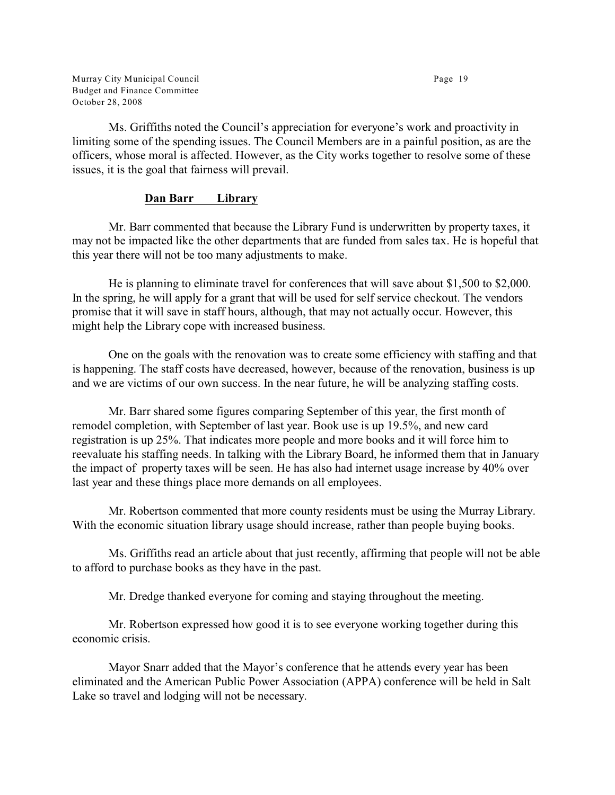Murray City Municipal Council **Page 19** Budget and Finance Committee October 28, 2008

Ms. Griffiths noted the Council's appreciation for everyone's work and proactivity in limiting some of the spending issues. The Council Members are in a painful position, as are the officers, whose moral is affected. However, as the City works together to resolve some of these issues, it is the goal that fairness will prevail.

## **Dan Barr Library**

Mr. Barr commented that because the Library Fund is underwritten by property taxes, it may not be impacted like the other departments that are funded from sales tax. He is hopeful that this year there will not be too many adjustments to make.

He is planning to eliminate travel for conferences that will save about \$1,500 to \$2,000. In the spring, he will apply for a grant that will be used for self service checkout. The vendors promise that it will save in staff hours, although, that may not actually occur. However, this might help the Library cope with increased business.

One on the goals with the renovation was to create some efficiency with staffing and that is happening. The staff costs have decreased, however, because of the renovation, business is up and we are victims of our own success. In the near future, he will be analyzing staffing costs.

Mr. Barr shared some figures comparing September of this year, the first month of remodel completion, with September of last year. Book use is up 19.5%, and new card registration is up 25%. That indicates more people and more books and it will force him to reevaluate his staffing needs. In talking with the Library Board, he informed them that in January the impact of property taxes will be seen. He has also had internet usage increase by 40% over last year and these things place more demands on all employees.

Mr. Robertson commented that more county residents must be using the Murray Library. With the economic situation library usage should increase, rather than people buying books.

Ms. Griffiths read an article about that just recently, affirming that people will not be able to afford to purchase books as they have in the past.

Mr. Dredge thanked everyone for coming and staying throughout the meeting.

Mr. Robertson expressed how good it is to see everyone working together during this economic crisis.

Mayor Snarr added that the Mayor's conference that he attends every year has been eliminated and the American Public Power Association (APPA) conference will be held in Salt Lake so travel and lodging will not be necessary.